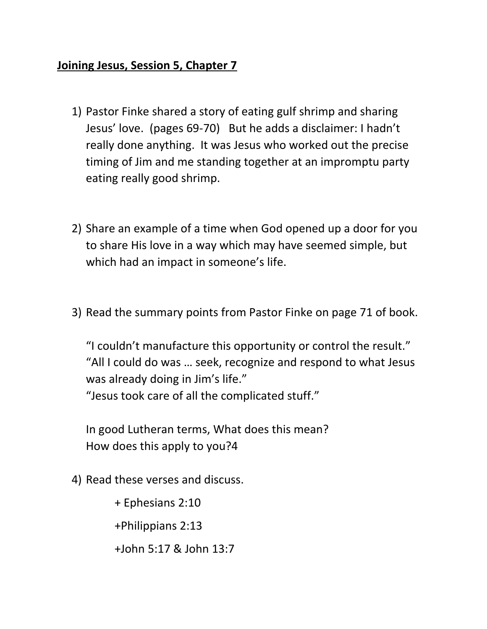## **Joining Jesus, Session 5, Chapter 7**

- 1) Pastor Finke shared a story of eating gulf shrimp and sharing Jesus' love. (pages 69-70) But he adds a disclaimer: I hadn't really done anything. It was Jesus who worked out the precise timing of Jim and me standing together at an impromptu party eating really good shrimp.
- 2) Share an example of a time when God opened up a door for you to share His love in a way which may have seemed simple, but which had an impact in someone's life.
- 3) Read the summary points from Pastor Finke on page 71 of book.

"I couldn't manufacture this opportunity or control the result." "All I could do was … seek, recognize and respond to what Jesus was already doing in Jim's life." "Jesus took care of all the complicated stuff."

In good Lutheran terms, What does this mean? How does this apply to you?4

4) Read these verses and discuss.

+ Ephesians 2:10 +Philippians 2:13 +John 5:17 & John 13:7